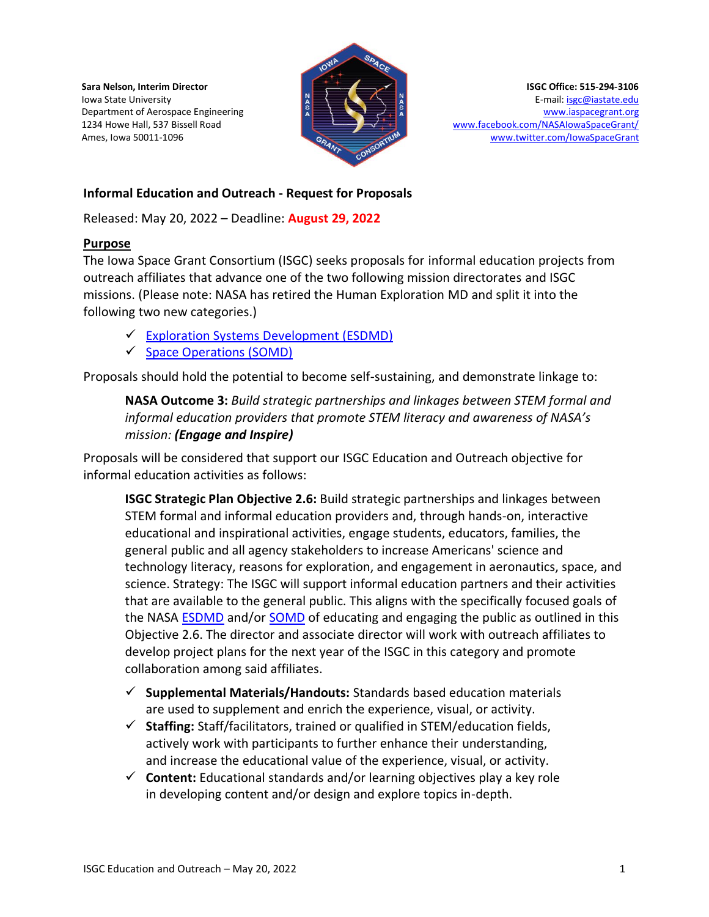**Sara Nelson, Interim Director** Iowa State University Department of Aerospace Engineering 1234 Howe Hall, 537 Bissell Road Ames, Iowa 50011-1096



**ISGC Office: 515-294-3106** E-mail[: isgc@iastate.edu](mailto:isgc@iastate.edu) [www.iaspacegrant.org](http://www.iaspacegrant.org/) [www.facebook.com/NASAIowaSpaceGrant/](http://www.facebook.com/NASAIowaSpaceGrant/) [www.twitter.com/IowaSpaceGrant](http://www.twitter.com/IowaSpaceGrant)

### **Informal Education and Outreach - Request for Proposals**

Released: May 20, 2022 – Deadline: **August 29, 2022**

#### **Purpose**

The Iowa Space Grant Consortium (ISGC) seeks proposals for informal education projects from outreach affiliates that advance one of the two following mission directorates and ISGC missions. (Please note: NASA has retired the Human Exploration MD and split it into the following two new categories.)

- ✓ [Exploration Systems Development \(ESDMD\)](https://www.nasa.gov/directorates/exploration-systems-development)
- $\checkmark$  [Space Operations \(SOMD\)](https://www.nasa.gov/directorates/space-operations-mission-directorate)

Proposals should hold the potential to become self-sustaining, and demonstrate linkage to:

**NASA Outcome 3:** *Build strategic partnerships and linkages between STEM formal and informal education providers that promote STEM literacy and awareness of NASA's mission: (Engage and Inspire)*

Proposals will be considered that support our ISGC Education and Outreach objective for informal education activities as follows:

**ISGC Strategic Plan Objective 2.6:** Build strategic partnerships and linkages between STEM formal and informal education providers and, through hands-on, interactive educational and inspirational activities, engage students, educators, families, the general public and all agency stakeholders to increase Americans' science and technology literacy, reasons for exploration, and engagement in aeronautics, space, and science. Strategy: The ISGC will support informal education partners and their activities that are available to the general public. This aligns with the specifically focused goals of the NASA [ESDMD](https://www.nasa.gov/directorates/exploration-systems-development) and/or [SOMD](https://www.nasa.gov/directorates/space-operations-mission-directorate) of educating and engaging the public as outlined in this Objective 2.6. The director and associate director will work with outreach affiliates to develop project plans for the next year of the ISGC in this category and promote collaboration among said affiliates.

- ✓ **Supplemental Materials/Handouts:** Standards based education materials are used to supplement and enrich the experience, visual, or activity.
- ✓ **Staffing:** Staff/facilitators, trained or qualified in STEM/education fields, actively work with participants to further enhance their understanding, and increase the educational value of the experience, visual, or activity.
- ✓ **Content:** Educational standards and/or learning objectives play a key role in developing content and/or design and explore topics in-depth.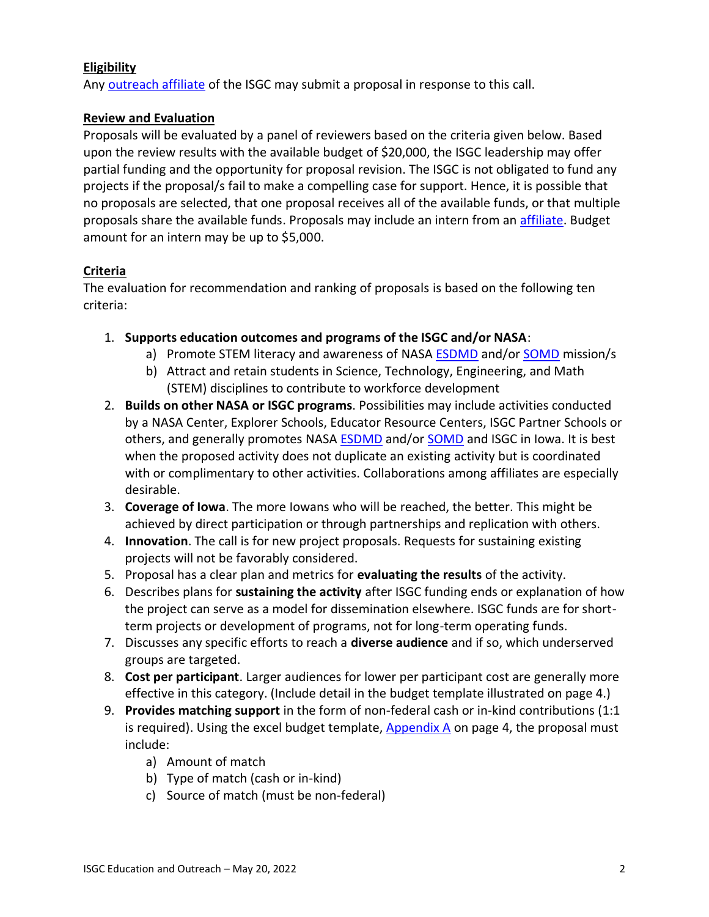### **Eligibility**

Any [outreach affiliate](https://www.iaspacegrant.org/about/) of the ISGC may submit a proposal in response to this call.

#### **Review and Evaluation**

Proposals will be evaluated by a panel of reviewers based on the criteria given below. Based upon the review results with the available budget of \$20,000, the ISGC leadership may offer partial funding and the opportunity for proposal revision. The ISGC is not obligated to fund any projects if the proposal/s fail to make a compelling case for support. Hence, it is possible that no proposals are selected, that one proposal receives all of the available funds, or that multiple proposals share the available funds. Proposals may include an intern from an [affiliate.](https://www.iaspacegrant.org/about/) Budget amount for an intern may be up to \$5,000.

#### **Criteria**

The evaluation for recommendation and ranking of proposals is based on the following ten criteria:

- 1. **Supports education outcomes and programs of the ISGC and/or NASA**:
	- a) Promote STEM literacy and awareness of NASA [ESDMD](https://www.nasa.gov/directorates/exploration-systems-development) and/o[r SOMD](https://www.nasa.gov/directorates/space-operations-mission-directorate) mission/s
	- b) Attract and retain students in Science, Technology, Engineering, and Math (STEM) disciplines to contribute to workforce development
- 2. **Builds on other NASA or ISGC programs**. Possibilities may include activities conducted by a NASA Center, Explorer Schools, Educator Resource Centers, ISGC Partner Schools or others, and generally promotes NASA **ESDMD** and/or **SOMD** and ISGC in Iowa. It is best when the proposed activity does not duplicate an existing activity but is coordinated with or complimentary to other activities. Collaborations among affiliates are especially desirable.
- 3. **Coverage of Iowa**. The more Iowans who will be reached, the better. This might be achieved by direct participation or through partnerships and replication with others.
- 4. **Innovation**. The call is for new project proposals. Requests for sustaining existing projects will not be favorably considered.
- 5. Proposal has a clear plan and metrics for **evaluating the results** of the activity.
- 6. Describes plans for **sustaining the activity** after ISGC funding ends or explanation of how the project can serve as a model for dissemination elsewhere. ISGC funds are for shortterm projects or development of programs, not for long-term operating funds.
- 7. Discusses any specific efforts to reach a **diverse audience** and if so, which underserved groups are targeted.
- 8. **Cost per participant**. Larger audiences for lower per participant cost are generally more effective in this category. (Include detail in the budget template illustrated on page 4.)
- 9. **Provides matching support** in the form of non-federal cash or in-kind contributions (1:1 is required). Using the excel budget template,  $\Delta$ ppendix  $\Delta$  on page 4, the proposal must include:
	- a) Amount of match
	- b) Type of match (cash or in-kind)
	- c) Source of match (must be non-federal)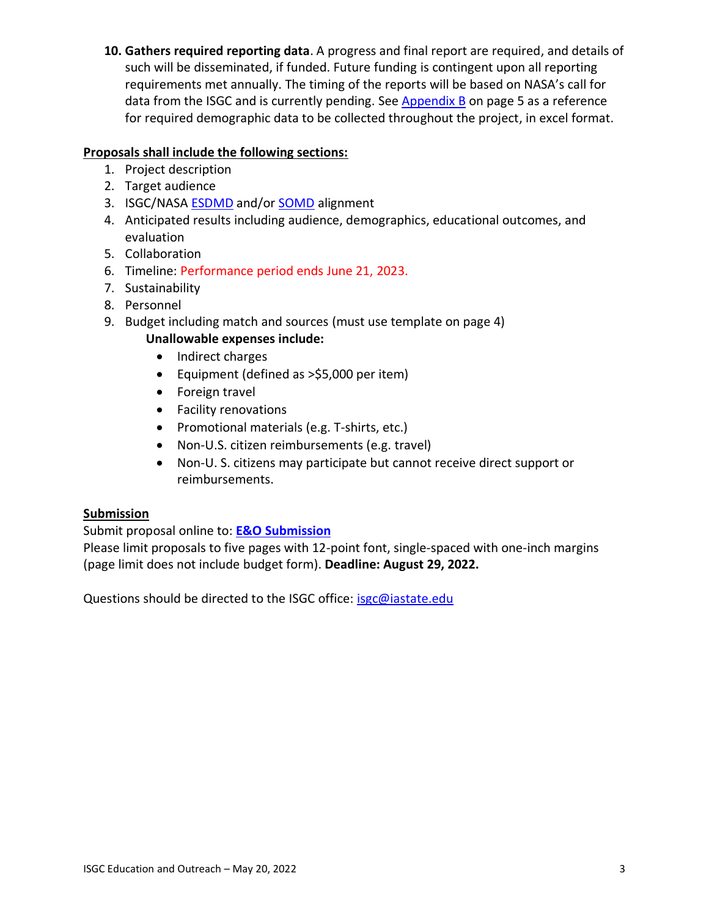**10. Gathers required reporting data**. A progress and final report are required, and details of such will be disseminated, if funded. Future funding is contingent upon all reporting requirements met annually. The timing of the reports will be based on NASA's call for data from the ISGC and is currently pending. See [Appendix B](https://www.iaspacegrant.org/files/2022/05/Outreach-Event-Demogrphcs_PY33_Appx-B.xlsx) on page 5 as a reference for required demographic data to be collected throughout the project, in excel format.

# **Proposals shall include the following sections:**

- 1. Project description
- 2. Target audience
- 3. ISGC/NASA **ESDMD** and/or **SOMD** alignment
- 4. Anticipated results including audience, demographics, educational outcomes, and evaluation
- 5. Collaboration
- 6. Timeline: Performance period ends June 21, 2023.
- 7. Sustainability
- 8. Personnel
- 9. Budget including match and sources (must use template on page 4)

# **Unallowable expenses include:**

- Indirect charges
- Equipment (defined as >\$5,000 per item)
- Foreign travel
- Facility renovations
- Promotional materials (e.g. T-shirts, etc.)
- Non-U.S. citizen reimbursements (e.g. travel)
- Non-U. S. citizens may participate but cannot receive direct support or reimbursements.

# **Submission**

# Submit proposal online to: **[E&O Submission](https://app.smartsheet.com/b/form/ca816f20d0444f37b3f6eb74c6e5728d)**

Please limit proposals to five pages with 12-point font, single-spaced with one-inch margins (page limit does not include budget form). **Deadline: August 29, 2022.**

Questions should be directed to the ISGC office: [isgc@iastate.edu](mailto:isgc@iastate.edu)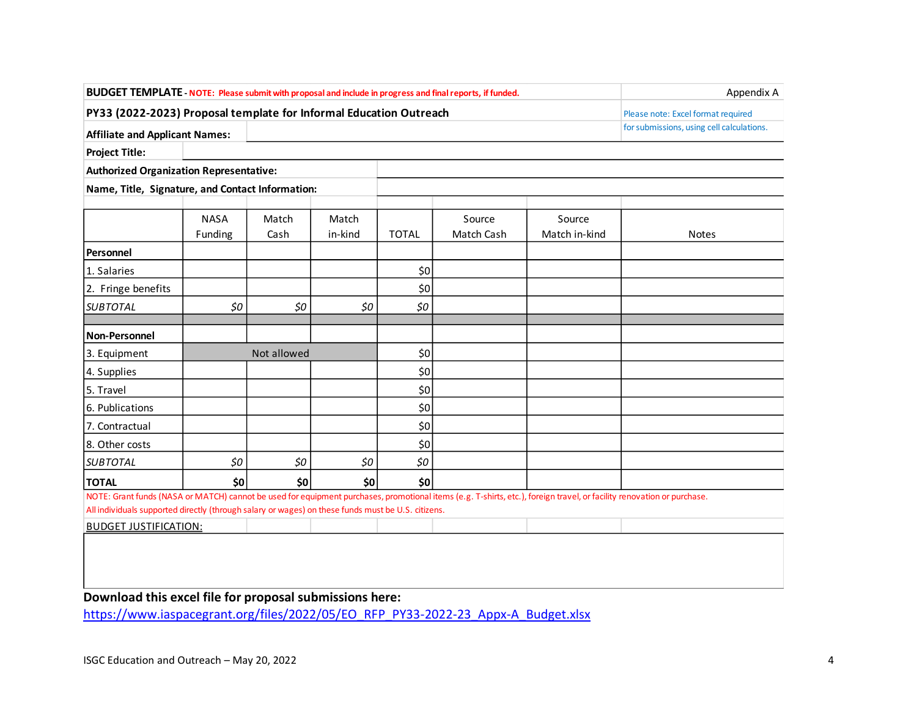| BUDGET TEMPLATE - NOTE: Please submit with proposal and include in progress and final reports, if funded.                                                              | Appendix A  |                                    |         |                                           |            |               |       |  |  |
|------------------------------------------------------------------------------------------------------------------------------------------------------------------------|-------------|------------------------------------|---------|-------------------------------------------|------------|---------------|-------|--|--|
| PY33 (2022-2023) Proposal template for Informal Education Outreach                                                                                                     |             | Please note: Excel format required |         |                                           |            |               |       |  |  |
| <b>Affiliate and Applicant Names:</b>                                                                                                                                  |             |                                    |         | for submissions, using cell calculations. |            |               |       |  |  |
| <b>Project Title:</b>                                                                                                                                                  |             |                                    |         |                                           |            |               |       |  |  |
| <b>Authorized Organization Representative:</b>                                                                                                                         |             |                                    |         |                                           |            |               |       |  |  |
| Name, Title, Signature, and Contact Information:                                                                                                                       |             |                                    |         |                                           |            |               |       |  |  |
|                                                                                                                                                                        |             |                                    |         |                                           |            |               |       |  |  |
|                                                                                                                                                                        | <b>NASA</b> | Match                              | Match   |                                           | Source     | Source        |       |  |  |
|                                                                                                                                                                        | Funding     | Cash                               | in-kind | <b>TOTAL</b>                              | Match Cash | Match in-kind | Notes |  |  |
| Personnel                                                                                                                                                              |             |                                    |         |                                           |            |               |       |  |  |
| 1. Salaries                                                                                                                                                            |             |                                    |         | \$0                                       |            |               |       |  |  |
| 2. Fringe benefits                                                                                                                                                     |             |                                    |         | \$0                                       |            |               |       |  |  |
| <b>SUBTOTAL</b>                                                                                                                                                        | \$0         | 50                                 | \$0     | 50                                        |            |               |       |  |  |
|                                                                                                                                                                        |             |                                    |         |                                           |            |               |       |  |  |
| Non-Personnel                                                                                                                                                          |             |                                    |         |                                           |            |               |       |  |  |
| 3. Equipment                                                                                                                                                           | Not allowed |                                    |         | \$0                                       |            |               |       |  |  |
| 4. Supplies                                                                                                                                                            |             |                                    |         | \$0                                       |            |               |       |  |  |
| 5. Travel                                                                                                                                                              |             |                                    |         | \$0                                       |            |               |       |  |  |
| 6. Publications                                                                                                                                                        |             |                                    |         | \$0                                       |            |               |       |  |  |
| 7. Contractual                                                                                                                                                         |             |                                    |         | \$0                                       |            |               |       |  |  |
| 8. Other costs                                                                                                                                                         |             |                                    |         | \$0                                       |            |               |       |  |  |
| <b>SUBTOTAL</b>                                                                                                                                                        | \$0         | \$0                                | \$0     | \$0                                       |            |               |       |  |  |
| <b>TOTAL</b>                                                                                                                                                           | \$0         | \$0                                | \$0     | \$0                                       |            |               |       |  |  |
| NOTE: Grant funds (NASA or MATCH) cannot be used for equipment purchases, promotional items (e.g. T-shirts, etc.), foreign travel, or facility renovation or purchase. |             |                                    |         |                                           |            |               |       |  |  |
| All individuals supported directly (through salary or wages) on these funds must be U.S. citizens.                                                                     |             |                                    |         |                                           |            |               |       |  |  |
| <b>BUDGET JUSTIFICATION:</b>                                                                                                                                           |             |                                    |         |                                           |            |               |       |  |  |
|                                                                                                                                                                        |             |                                    |         |                                           |            |               |       |  |  |
|                                                                                                                                                                        |             |                                    |         |                                           |            |               |       |  |  |
|                                                                                                                                                                        |             |                                    |         |                                           |            |               |       |  |  |

**Download this excel file for proposal submissions here:**

[https://www.iaspacegrant.org/files/2022/05/EO\\_RFP\\_PY33-2022-23\\_Appx-A\\_Budget.xlsx](https://www.iaspacegrant.org/files/2022/05/EO_RFP_PY33-2022-23_Appx-A_Budget.xlsx)